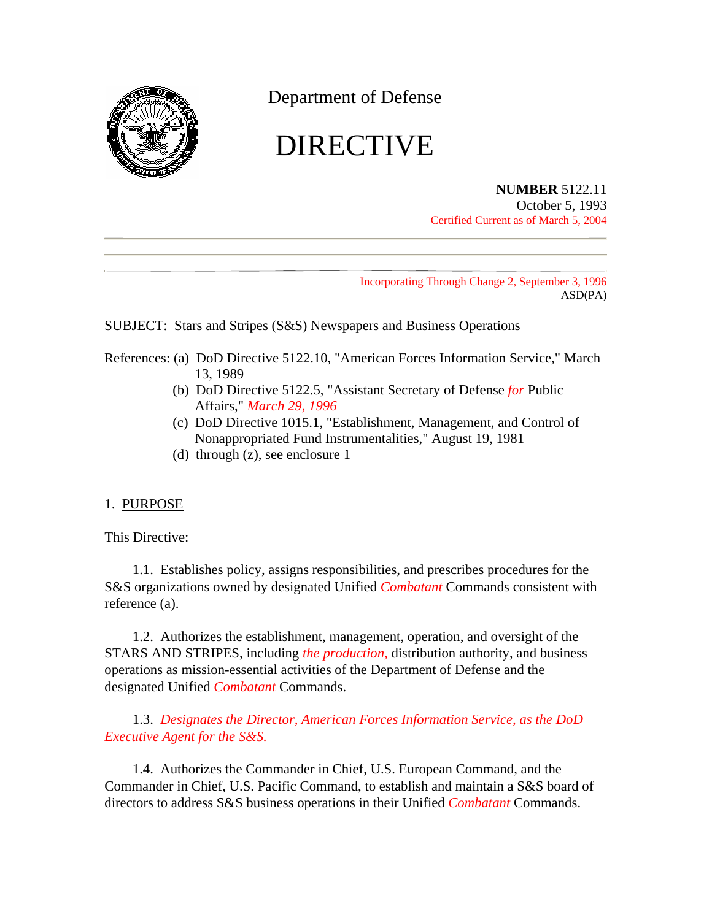

Department of Defense

# DIRECTIVE

#### **NUMBER** 5122.11 October 5, 1993 Certified Current as of March 5, 2004

Incorporating Through Change 2, September 3, 1996 ASD(PA)

SUBJECT: Stars and Stripes (S&S) Newspapers and Business Operations

- References: (a) DoD Directive 5122.10, "American Forces Information Service," March 13, 1989
	- (b) DoD Directive 5122.5, "Assistant Secretary of Defense *for* Public Affairs," *March 29, 1996*
	- (c) DoD Directive 1015.1, "Establishment, Management, and Control of Nonappropriated Fund Instrumentalities," August 19, 1981
	- (d) through (z), see enclosure 1

# 1. PURPOSE

This Directive:

1.1. Establishes policy, assigns responsibilities, and prescribes procedures for the S&S organizations owned by designated Unified *Combatant* Commands consistent with reference (a).

1.2. Authorizes the establishment, management, operation, and oversight of the STARS AND STRIPES, including *the production,* distribution authority, and business operations as mission-essential activities of the Department of Defense and the designated Unified *Combatant* Commands.

1.3. *Designates the Director, American Forces Information Service, as the DoD Executive Agent for the S&S.*

1.4. Authorizes the Commander in Chief, U.S. European Command, and the Commander in Chief, U.S. Pacific Command, to establish and maintain a S&S board of directors to address S&S business operations in their Unified *Combatant* Commands.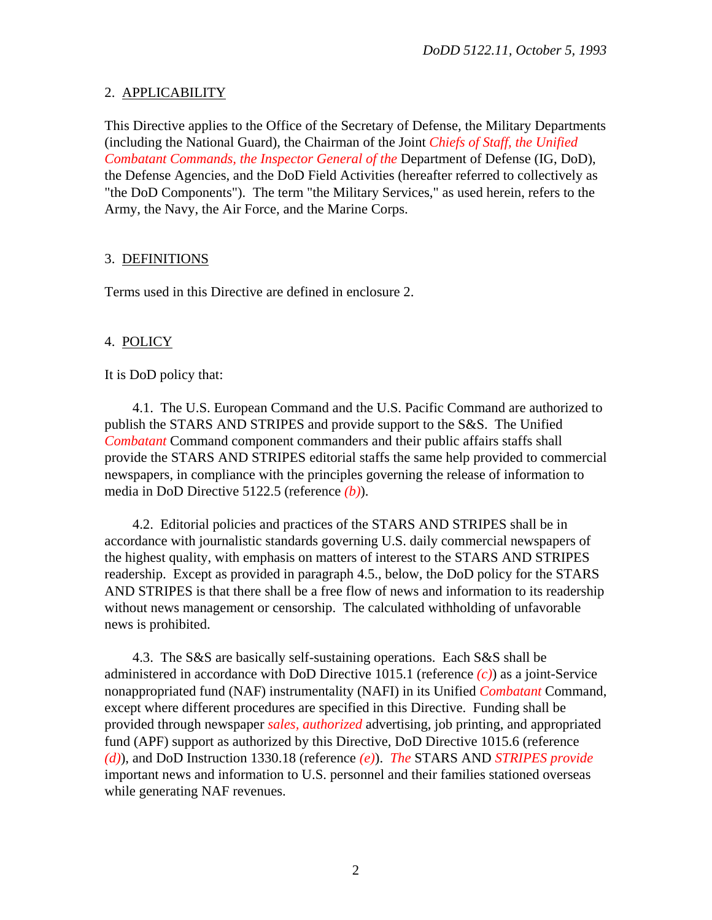# 2. APPLICABILITY

This Directive applies to the Office of the Secretary of Defense, the Military Departments (including the National Guard), the Chairman of the Joint *Chiefs of Staff, the Unified Combatant Commands, the Inspector General of the* Department of Defense (IG, DoD), the Defense Agencies, and the DoD Field Activities (hereafter referred to collectively as "the DoD Components"). The term "the Military Services," as used herein, refers to the Army, the Navy, the Air Force, and the Marine Corps.

# 3. DEFINITIONS

Terms used in this Directive are defined in enclosure 2.

# 4. POLICY

It is DoD policy that:

4.1. The U.S. European Command and the U.S. Pacific Command are authorized to publish the STARS AND STRIPES and provide support to the S&S. The Unified *Combatant* Command component commanders and their public affairs staffs shall provide the STARS AND STRIPES editorial staffs the same help provided to commercial newspapers, in compliance with the principles governing the release of information to media in DoD Directive 5122.5 (reference *(b)*).

4.2. Editorial policies and practices of the STARS AND STRIPES shall be in accordance with journalistic standards governing U.S. daily commercial newspapers of the highest quality, with emphasis on matters of interest to the STARS AND STRIPES readership. Except as provided in paragraph 4.5., below, the DoD policy for the STARS AND STRIPES is that there shall be a free flow of news and information to its readership without news management or censorship. The calculated withholding of unfavorable news is prohibited.

4.3. The S&S are basically self-sustaining operations. Each S&S shall be administered in accordance with DoD Directive 1015.1 (reference *(c)*) as a joint-Service nonappropriated fund (NAF) instrumentality (NAFI) in its Unified *Combatant* Command, except where different procedures are specified in this Directive. Funding shall be provided through newspaper *sales, authorized* advertising, job printing, and appropriated fund (APF) support as authorized by this Directive, DoD Directive 1015.6 (reference *(d)*), and DoD Instruction 1330.18 (reference *(e)*). *The* STARS AND *STRIPES provide* important news and information to U.S. personnel and their families stationed overseas while generating NAF revenues.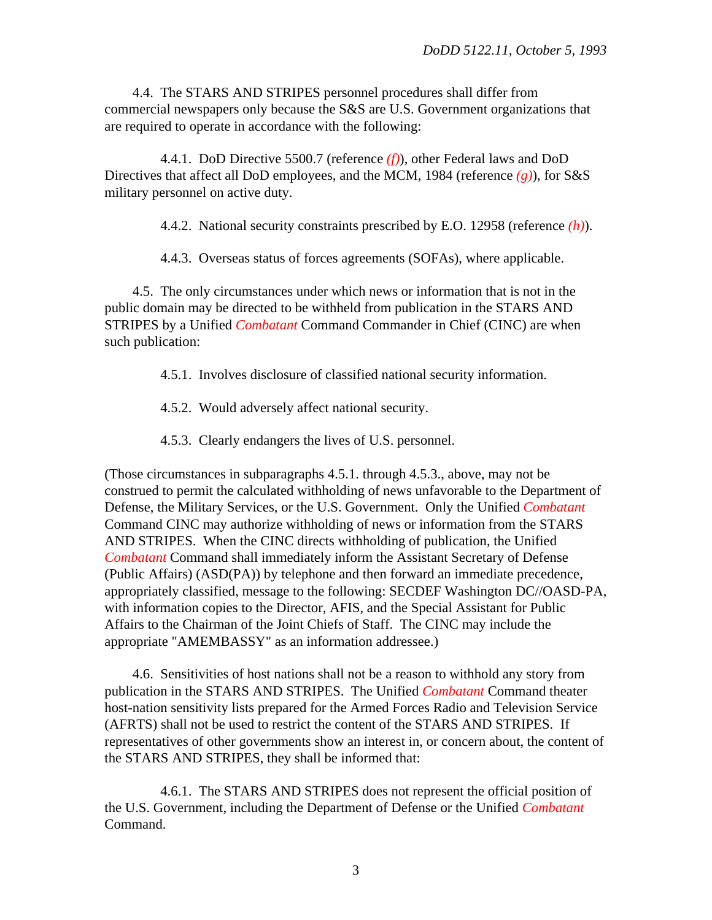4.4. The STARS AND STRIPES personnel procedures shall differ from commercial newspapers only because the S&S are U.S. Government organizations that are required to operate in accordance with the following:

4.4.1. DoD Directive 5500.7 (reference *(f)*), other Federal laws and DoD Directives that affect all DoD employees, and the MCM, 1984 (reference *(g)*), for S&S military personnel on active duty.

4.4.2. National security constraints prescribed by E.O. 12958 (reference *(h)*).

4.4.3. Overseas status of forces agreements (SOFAs), where applicable.

4.5. The only circumstances under which news or information that is not in the public domain may be directed to be withheld from publication in the STARS AND STRIPES by a Unified *Combatant* Command Commander in Chief (CINC) are when such publication:

4.5.1. Involves disclosure of classified national security information.

4.5.2. Would adversely affect national security.

4.5.3. Clearly endangers the lives of U.S. personnel.

(Those circumstances in subparagraphs 4.5.1. through 4.5.3., above, may not be construed to permit the calculated withholding of news unfavorable to the Department of Defense, the Military Services, or the U.S. Government. Only the Unified *Combatant* Command CINC may authorize withholding of news or information from the STARS AND STRIPES. When the CINC directs withholding of publication, the Unified *Combatant* Command shall immediately inform the Assistant Secretary of Defense (Public Affairs) (ASD(PA)) by telephone and then forward an immediate precedence, appropriately classified, message to the following: SECDEF Washington DC//OASD-PA, with information copies to the Director, AFIS, and the Special Assistant for Public Affairs to the Chairman of the Joint Chiefs of Staff. The CINC may include the appropriate "AMEMBASSY" as an information addressee.)

4.6. Sensitivities of host nations shall not be a reason to withhold any story from publication in the STARS AND STRIPES. The Unified *Combatant* Command theater host-nation sensitivity lists prepared for the Armed Forces Radio and Television Service (AFRTS) shall not be used to restrict the content of the STARS AND STRIPES. If representatives of other governments show an interest in, or concern about, the content of the STARS AND STRIPES, they shall be informed that:

4.6.1. The STARS AND STRIPES does not represent the official position of the U.S. Government, including the Department of Defense or the Unified *Combatant* Command.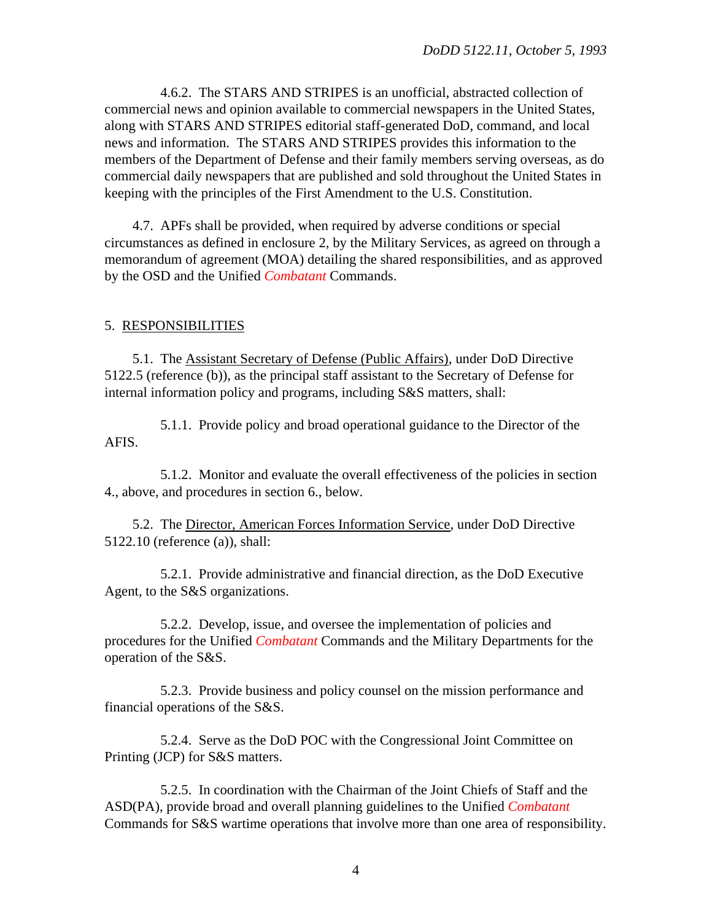4.6.2. The STARS AND STRIPES is an unofficial, abstracted collection of commercial news and opinion available to commercial newspapers in the United States, along with STARS AND STRIPES editorial staff-generated DoD, command, and local news and information. The STARS AND STRIPES provides this information to the members of the Department of Defense and their family members serving overseas, as do commercial daily newspapers that are published and sold throughout the United States in keeping with the principles of the First Amendment to the U.S. Constitution.

4.7. APFs shall be provided, when required by adverse conditions or special circumstances as defined in enclosure 2, by the Military Services, as agreed on through a memorandum of agreement (MOA) detailing the shared responsibilities, and as approved by the OSD and the Unified *Combatant* Commands.

## 5. RESPONSIBILITIES

5.1. The Assistant Secretary of Defense (Public Affairs), under DoD Directive 5122.5 (reference (b)), as the principal staff assistant to the Secretary of Defense for internal information policy and programs, including S&S matters, shall:

5.1.1. Provide policy and broad operational guidance to the Director of the AFIS.

5.1.2. Monitor and evaluate the overall effectiveness of the policies in section 4., above, and procedures in section 6., below.

5.2. The Director, American Forces Information Service, under DoD Directive 5122.10 (reference (a)), shall:

5.2.1. Provide administrative and financial direction, as the DoD Executive Agent, to the S&S organizations.

5.2.2. Develop, issue, and oversee the implementation of policies and procedures for the Unified *Combatant* Commands and the Military Departments for the operation of the S&S.

5.2.3. Provide business and policy counsel on the mission performance and financial operations of the S&S.

5.2.4. Serve as the DoD POC with the Congressional Joint Committee on Printing (JCP) for S&S matters.

5.2.5. In coordination with the Chairman of the Joint Chiefs of Staff and the ASD(PA), provide broad and overall planning guidelines to the Unified *Combatant* Commands for S&S wartime operations that involve more than one area of responsibility.

4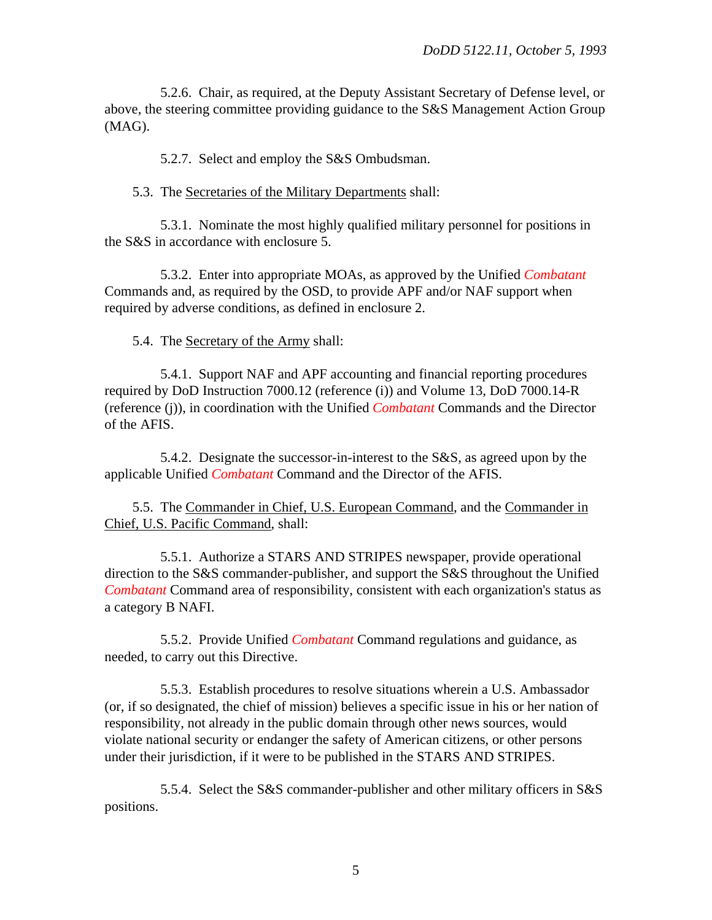5.2.6. Chair, as required, at the Deputy Assistant Secretary of Defense level, or above, the steering committee providing guidance to the S&S Management Action Group (MAG).

5.2.7. Select and employ the S&S Ombudsman.

5.3. The Secretaries of the Military Departments shall:

5.3.1. Nominate the most highly qualified military personnel for positions in the S&S in accordance with enclosure 5.

5.3.2. Enter into appropriate MOAs, as approved by the Unified *Combatant* Commands and, as required by the OSD, to provide APF and/or NAF support when required by adverse conditions, as defined in enclosure 2.

5.4. The Secretary of the Army shall:

5.4.1. Support NAF and APF accounting and financial reporting procedures required by DoD Instruction 7000.12 (reference (i)) and Volume 13, DoD 7000.14-R (reference (j)), in coordination with the Unified *Combatant* Commands and the Director of the AFIS.

5.4.2. Designate the successor-in-interest to the S&S, as agreed upon by the applicable Unified *Combatant* Command and the Director of the AFIS.

5.5. The Commander in Chief, U.S. European Command, and the Commander in Chief, U.S. Pacific Command, shall:

5.5.1. Authorize a STARS AND STRIPES newspaper, provide operational direction to the S&S commander-publisher, and support the S&S throughout the Unified *Combatant* Command area of responsibility, consistent with each organization's status as a category B NAFI.

5.5.2. Provide Unified *Combatant* Command regulations and guidance, as needed, to carry out this Directive.

5.5.3. Establish procedures to resolve situations wherein a U.S. Ambassador (or, if so designated, the chief of mission) believes a specific issue in his or her nation of responsibility, not already in the public domain through other news sources, would violate national security or endanger the safety of American citizens, or other persons under their jurisdiction, if it were to be published in the STARS AND STRIPES.

5.5.4. Select the S&S commander-publisher and other military officers in S&S positions.

5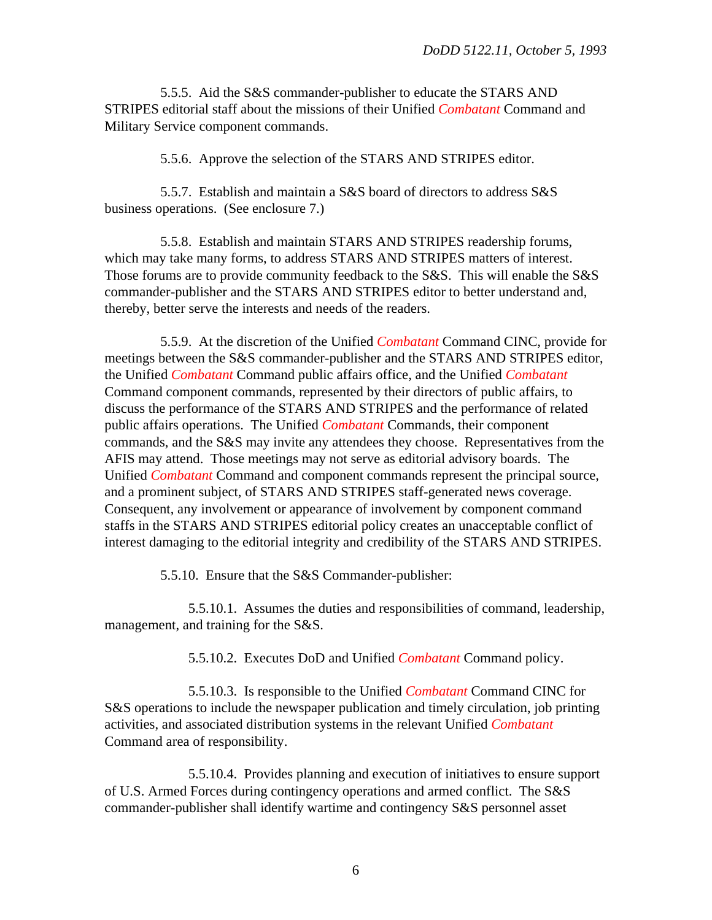5.5.5. Aid the S&S commander-publisher to educate the STARS AND STRIPES editorial staff about the missions of their Unified *Combatant* Command and Military Service component commands.

5.5.6. Approve the selection of the STARS AND STRIPES editor.

5.5.7. Establish and maintain a S&S board of directors to address S&S business operations. (See enclosure 7.)

5.5.8. Establish and maintain STARS AND STRIPES readership forums, which may take many forms, to address STARS AND STRIPES matters of interest. Those forums are to provide community feedback to the S&S. This will enable the S&S commander-publisher and the STARS AND STRIPES editor to better understand and, thereby, better serve the interests and needs of the readers.

5.5.9. At the discretion of the Unified *Combatant* Command CINC, provide for meetings between the S&S commander-publisher and the STARS AND STRIPES editor, the Unified *Combatant* Command public affairs office, and the Unified *Combatant* Command component commands, represented by their directors of public affairs, to discuss the performance of the STARS AND STRIPES and the performance of related public affairs operations. The Unified *Combatant* Commands, their component commands, and the S&S may invite any attendees they choose. Representatives from the AFIS may attend. Those meetings may not serve as editorial advisory boards. The Unified *Combatant* Command and component commands represent the principal source, and a prominent subject, of STARS AND STRIPES staff-generated news coverage. Consequent, any involvement or appearance of involvement by component command staffs in the STARS AND STRIPES editorial policy creates an unacceptable conflict of interest damaging to the editorial integrity and credibility of the STARS AND STRIPES.

5.5.10. Ensure that the S&S Commander-publisher:

5.5.10.1. Assumes the duties and responsibilities of command, leadership, management, and training for the S&S.

5.5.10.2. Executes DoD and Unified *Combatant* Command policy.

5.5.10.3. Is responsible to the Unified *Combatant* Command CINC for S&S operations to include the newspaper publication and timely circulation, job printing activities, and associated distribution systems in the relevant Unified *Combatant* Command area of responsibility.

5.5.10.4. Provides planning and execution of initiatives to ensure support of U.S. Armed Forces during contingency operations and armed conflict. The S&S commander-publisher shall identify wartime and contingency S&S personnel asset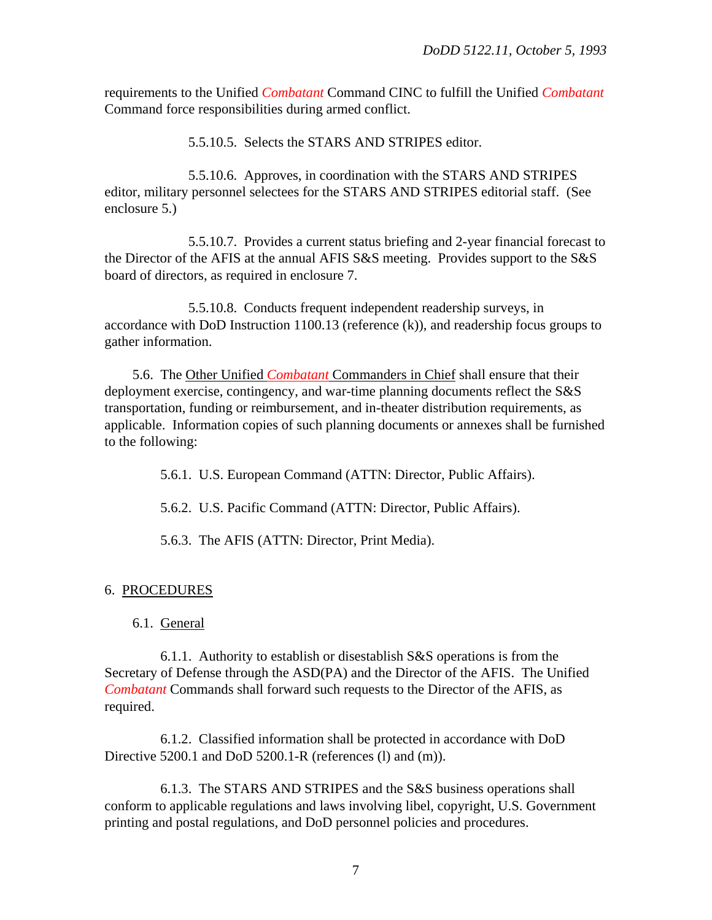requirements to the Unified *Combatant* Command CINC to fulfill the Unified *Combatant* Command force responsibilities during armed conflict.

5.5.10.5. Selects the STARS AND STRIPES editor.

5.5.10.6. Approves, in coordination with the STARS AND STRIPES editor, military personnel selectees for the STARS AND STRIPES editorial staff. (See enclosure 5.)

5.5.10.7. Provides a current status briefing and 2-year financial forecast to the Director of the AFIS at the annual AFIS S&S meeting. Provides support to the S&S board of directors, as required in enclosure 7.

5.5.10.8. Conducts frequent independent readership surveys, in accordance with DoD Instruction 1100.13 (reference (k)), and readership focus groups to gather information.

5.6. The Other Unified *Combatant* Commanders in Chief shall ensure that their deployment exercise, contingency, and war-time planning documents reflect the S&S transportation, funding or reimbursement, and in-theater distribution requirements, as applicable. Information copies of such planning documents or annexes shall be furnished to the following:

5.6.1. U.S. European Command (ATTN: Director, Public Affairs).

5.6.2. U.S. Pacific Command (ATTN: Director, Public Affairs).

5.6.3. The AFIS (ATTN: Director, Print Media).

#### 6. PROCEDURES

#### 6.1. General

6.1.1. Authority to establish or disestablish S&S operations is from the Secretary of Defense through the ASD(PA) and the Director of the AFIS. The Unified *Combatant* Commands shall forward such requests to the Director of the AFIS, as required.

6.1.2. Classified information shall be protected in accordance with DoD Directive 5200.1 and DoD 5200.1-R (references (l) and (m)).

6.1.3. The STARS AND STRIPES and the S&S business operations shall conform to applicable regulations and laws involving libel, copyright, U.S. Government printing and postal regulations, and DoD personnel policies and procedures.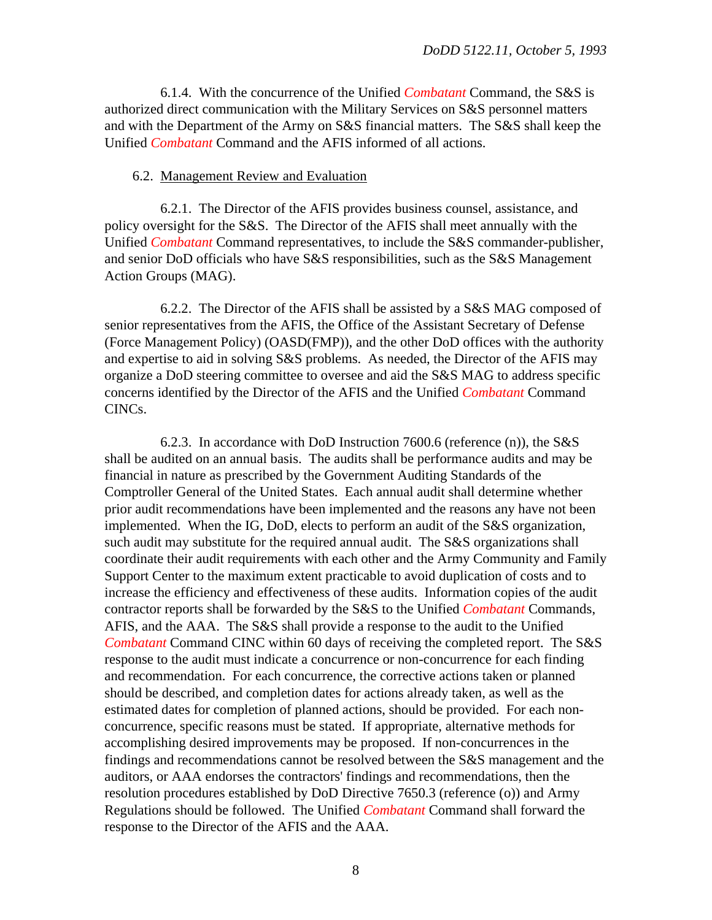6.1.4. With the concurrence of the Unified *Combatant* Command, the S&S is authorized direct communication with the Military Services on S&S personnel matters and with the Department of the Army on S&S financial matters. The S&S shall keep the Unified *Combatant* Command and the AFIS informed of all actions.

#### 6.2. Management Review and Evaluation

6.2.1. The Director of the AFIS provides business counsel, assistance, and policy oversight for the S&S. The Director of the AFIS shall meet annually with the Unified *Combatant* Command representatives, to include the S&S commander-publisher, and senior DoD officials who have S&S responsibilities, such as the S&S Management Action Groups (MAG).

6.2.2. The Director of the AFIS shall be assisted by a S&S MAG composed of senior representatives from the AFIS, the Office of the Assistant Secretary of Defense (Force Management Policy) (OASD(FMP)), and the other DoD offices with the authority and expertise to aid in solving S&S problems. As needed, the Director of the AFIS may organize a DoD steering committee to oversee and aid the S&S MAG to address specific concerns identified by the Director of the AFIS and the Unified *Combatant* Command CINCs.

6.2.3. In accordance with DoD Instruction 7600.6 (reference (n)), the S&S shall be audited on an annual basis. The audits shall be performance audits and may be financial in nature as prescribed by the Government Auditing Standards of the Comptroller General of the United States. Each annual audit shall determine whether prior audit recommendations have been implemented and the reasons any have not been implemented. When the IG, DoD, elects to perform an audit of the S&S organization, such audit may substitute for the required annual audit. The S&S organizations shall coordinate their audit requirements with each other and the Army Community and Family Support Center to the maximum extent practicable to avoid duplication of costs and to increase the efficiency and effectiveness of these audits. Information copies of the audit contractor reports shall be forwarded by the S&S to the Unified *Combatant* Commands, AFIS, and the AAA. The S&S shall provide a response to the audit to the Unified *Combatant* Command CINC within 60 days of receiving the completed report. The S&S response to the audit must indicate a concurrence or non-concurrence for each finding and recommendation. For each concurrence, the corrective actions taken or planned should be described, and completion dates for actions already taken, as well as the estimated dates for completion of planned actions, should be provided. For each nonconcurrence, specific reasons must be stated. If appropriate, alternative methods for accomplishing desired improvements may be proposed. If non-concurrences in the findings and recommendations cannot be resolved between the S&S management and the auditors, or AAA endorses the contractors' findings and recommendations, then the resolution procedures established by DoD Directive 7650.3 (reference (o)) and Army Regulations should be followed. The Unified *Combatant* Command shall forward the response to the Director of the AFIS and the AAA.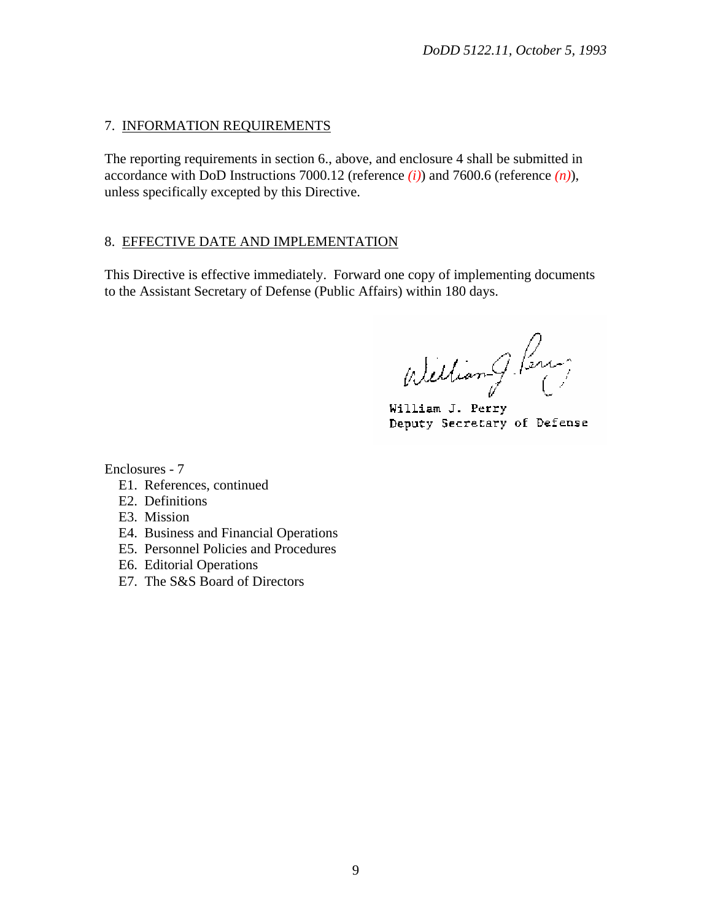# 7. INFORMATION REQUIREMENTS

The reporting requirements in section 6., above, and enclosure 4 shall be submitted in accordance with DoD Instructions 7000.12 (reference *(i)*) and 7600.6 (reference *(n)*), unless specifically excepted by this Directive.

# 8. EFFECTIVE DATE AND IMPLEMENTATION

This Directive is effective immediately. Forward one copy of implementing documents to the Assistant Secretary of Defense (Public Affairs) within 180 days.

Welliam G. Perus

William J. Perry Deputy Secretary of Defense

Enclosures - 7

- E1. References, continued
- E2. Definitions
- E3. Mission
- E4. Business and Financial Operations
- E5. Personnel Policies and Procedures
- E6. Editorial Operations
- E7. The S&S Board of Directors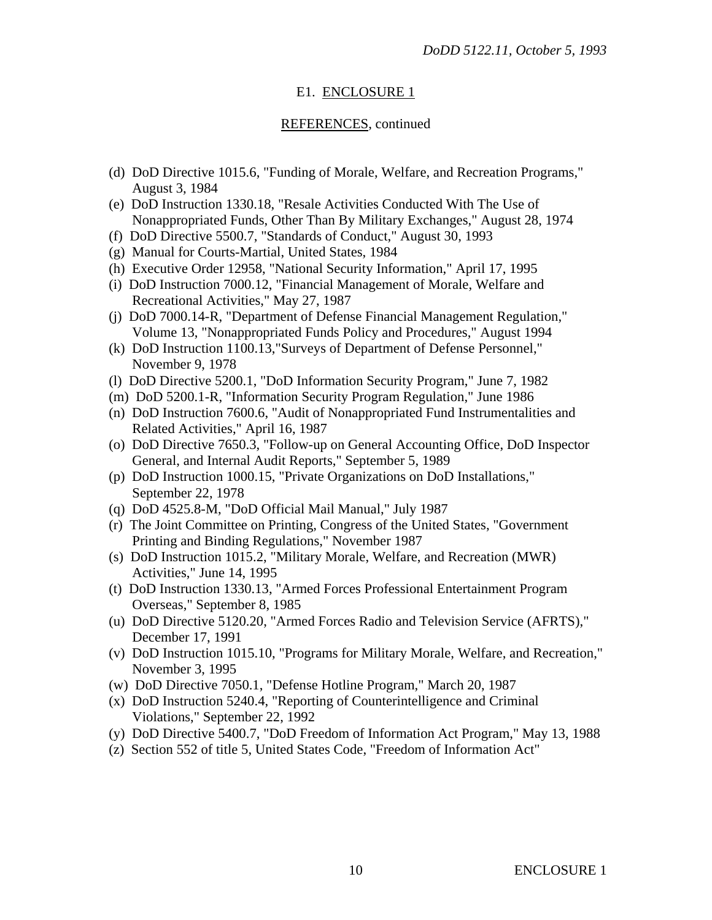# E1. ENCLOSURE 1

## REFERENCES, continued

- (d) DoD Directive 1015.6, "Funding of Morale, Welfare, and Recreation Programs," August 3, 1984
- (e) DoD Instruction 1330.18, "Resale Activities Conducted With The Use of Nonappropriated Funds, Other Than By Military Exchanges," August 28, 1974
- (f) DoD Directive 5500.7, "Standards of Conduct," August 30, 1993
- (g) Manual for Courts-Martial, United States, 1984
- (h) Executive Order 12958, "National Security Information," April 17, 1995
- (i) DoD Instruction 7000.12, "Financial Management of Morale, Welfare and Recreational Activities," May 27, 1987
- (j) DoD 7000.14-R, "Department of Defense Financial Management Regulation," Volume 13, "Nonappropriated Funds Policy and Procedures," August 1994
- (k) DoD Instruction 1100.13,"Surveys of Department of Defense Personnel," November 9, 1978
- (l) DoD Directive 5200.1, "DoD Information Security Program," June 7, 1982
- (m) DoD 5200.1-R, "Information Security Program Regulation," June 1986
- (n) DoD Instruction 7600.6, "Audit of Nonappropriated Fund Instrumentalities and Related Activities," April 16, 1987
- (o) DoD Directive 7650.3, "Follow-up on General Accounting Office, DoD Inspector General, and Internal Audit Reports," September 5, 1989
- (p) DoD Instruction 1000.15, "Private Organizations on DoD Installations," September 22, 1978
- (q) DoD 4525.8-M, "DoD Official Mail Manual," July 1987
- (r) The Joint Committee on Printing, Congress of the United States, "Government Printing and Binding Regulations," November 1987
- (s) DoD Instruction 1015.2, "Military Morale, Welfare, and Recreation (MWR) Activities," June 14, 1995
- (t) DoD Instruction 1330.13, "Armed Forces Professional Entertainment Program Overseas," September 8, 1985
- (u) DoD Directive 5120.20, "Armed Forces Radio and Television Service (AFRTS)," December 17, 1991
- (v) DoD Instruction 1015.10, "Programs for Military Morale, Welfare, and Recreation," November 3, 1995
- (w) DoD Directive 7050.1, "Defense Hotline Program," March 20, 1987
- (x) DoD Instruction 5240.4, "Reporting of Counterintelligence and Criminal Violations," September 22, 1992
- (y) DoD Directive 5400.7, "DoD Freedom of Information Act Program," May 13, 1988
- (z) Section 552 of title 5, United States Code, "Freedom of Information Act"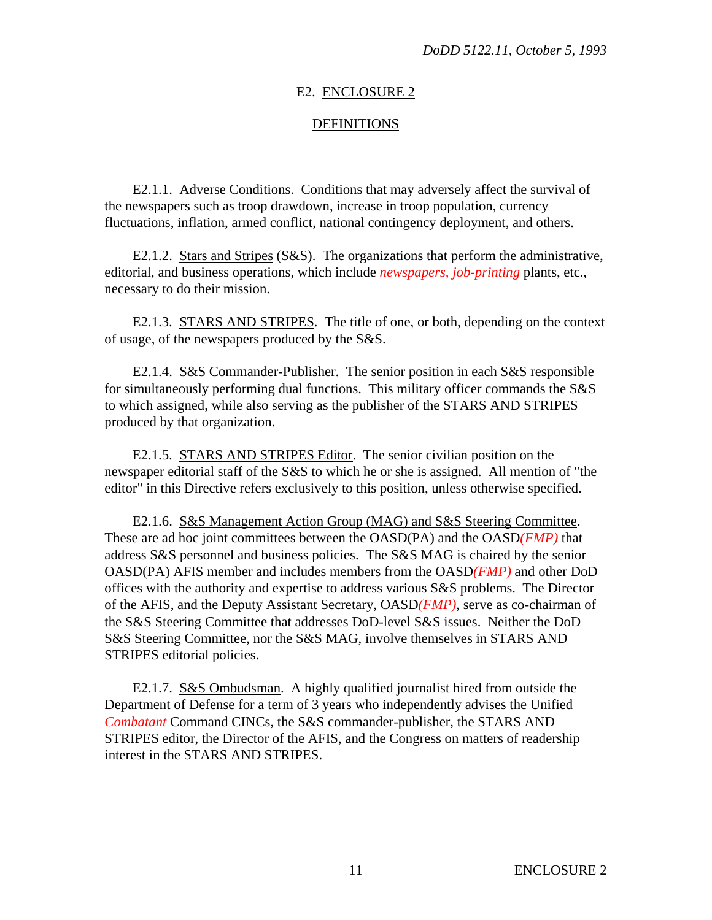## E2. ENCLOSURE 2

## **DEFINITIONS**

E2.1.1. Adverse Conditions. Conditions that may adversely affect the survival of the newspapers such as troop drawdown, increase in troop population, currency fluctuations, inflation, armed conflict, national contingency deployment, and others.

E2.1.2. Stars and Stripes (S&S). The organizations that perform the administrative, editorial, and business operations, which include *newspapers, job-printing* plants, etc., necessary to do their mission.

E2.1.3. STARS AND STRIPES. The title of one, or both, depending on the context of usage, of the newspapers produced by the S&S.

E2.1.4. S&S Commander-Publisher. The senior position in each S&S responsible for simultaneously performing dual functions. This military officer commands the S&S to which assigned, while also serving as the publisher of the STARS AND STRIPES produced by that organization.

E2.1.5. STARS AND STRIPES Editor. The senior civilian position on the newspaper editorial staff of the S&S to which he or she is assigned. All mention of "the editor" in this Directive refers exclusively to this position, unless otherwise specified.

E2.1.6. S&S Management Action Group (MAG) and S&S Steering Committee. These are ad hoc joint committees between the OASD(PA) and the OASD*(FMP)* that address S&S personnel and business policies. The S&S MAG is chaired by the senior OASD(PA) AFIS member and includes members from the OASD*(FMP)* and other DoD offices with the authority and expertise to address various S&S problems. The Director of the AFIS, and the Deputy Assistant Secretary, OASD*(FMP)*, serve as co-chairman of the S&S Steering Committee that addresses DoD-level S&S issues. Neither the DoD S&S Steering Committee, nor the S&S MAG, involve themselves in STARS AND STRIPES editorial policies.

E2.1.7. S&S Ombudsman. A highly qualified journalist hired from outside the Department of Defense for a term of 3 years who independently advises the Unified *Combatant* Command CINCs, the S&S commander-publisher, the STARS AND STRIPES editor, the Director of the AFIS, and the Congress on matters of readership interest in the STARS AND STRIPES.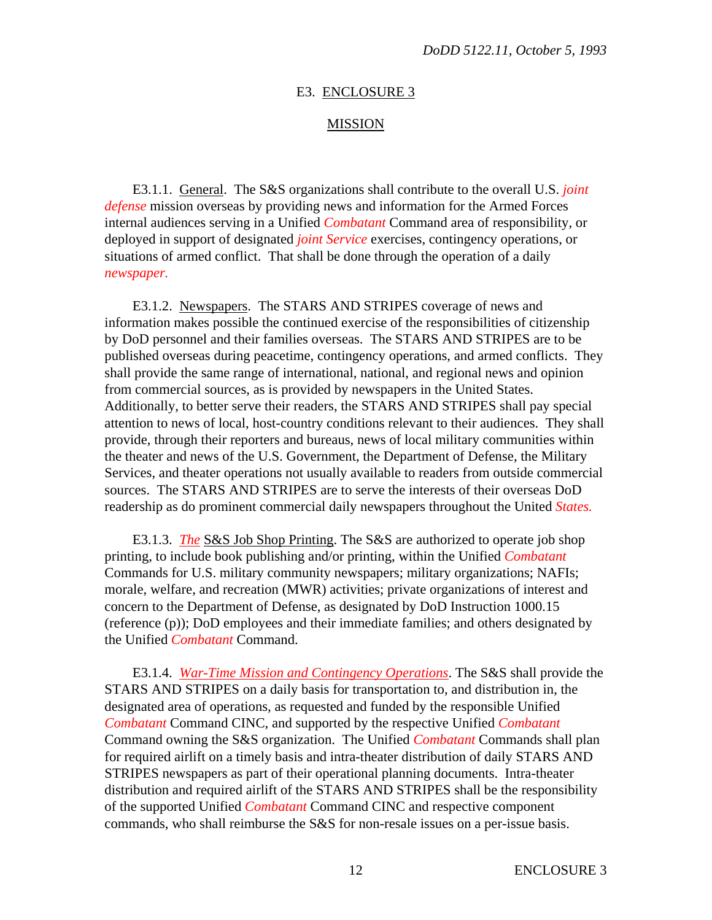#### E3. ENCLOSURE 3

#### MISSION

E3.1.1. General. The S&S organizations shall contribute to the overall U.S. *joint defense* mission overseas by providing news and information for the Armed Forces internal audiences serving in a Unified *Combatant* Command area of responsibility, or deployed in support of designated *joint Service* exercises, contingency operations, or situations of armed conflict. That shall be done through the operation of a daily *newspaper.*

E3.1.2. Newspapers. The STARS AND STRIPES coverage of news and information makes possible the continued exercise of the responsibilities of citizenship by DoD personnel and their families overseas. The STARS AND STRIPES are to be published overseas during peacetime, contingency operations, and armed conflicts. They shall provide the same range of international, national, and regional news and opinion from commercial sources, as is provided by newspapers in the United States. Additionally, to better serve their readers, the STARS AND STRIPES shall pay special attention to news of local, host-country conditions relevant to their audiences. They shall provide, through their reporters and bureaus, news of local military communities within the theater and news of the U.S. Government, the Department of Defense, the Military Services, and theater operations not usually available to readers from outside commercial sources. The STARS AND STRIPES are to serve the interests of their overseas DoD readership as do prominent commercial daily newspapers throughout the United *States.*

E3.1.3. *The* S&S Job Shop Printing. The S&S are authorized to operate job shop printing, to include book publishing and/or printing, within the Unified *Combatant* Commands for U.S. military community newspapers; military organizations; NAFIs; morale, welfare, and recreation (MWR) activities; private organizations of interest and concern to the Department of Defense, as designated by DoD Instruction 1000.15 (reference (p)); DoD employees and their immediate families; and others designated by the Unified *Combatant* Command.

E3.1.4. *War-Time Mission and Contingency Operations*. The S&S shall provide the STARS AND STRIPES on a daily basis for transportation to, and distribution in, the designated area of operations, as requested and funded by the responsible Unified *Combatant* Command CINC, and supported by the respective Unified *Combatant* Command owning the S&S organization. The Unified *Combatant* Commands shall plan for required airlift on a timely basis and intra-theater distribution of daily STARS AND STRIPES newspapers as part of their operational planning documents. Intra-theater distribution and required airlift of the STARS AND STRIPES shall be the responsibility of the supported Unified *Combatant* Command CINC and respective component commands, who shall reimburse the S&S for non-resale issues on a per-issue basis.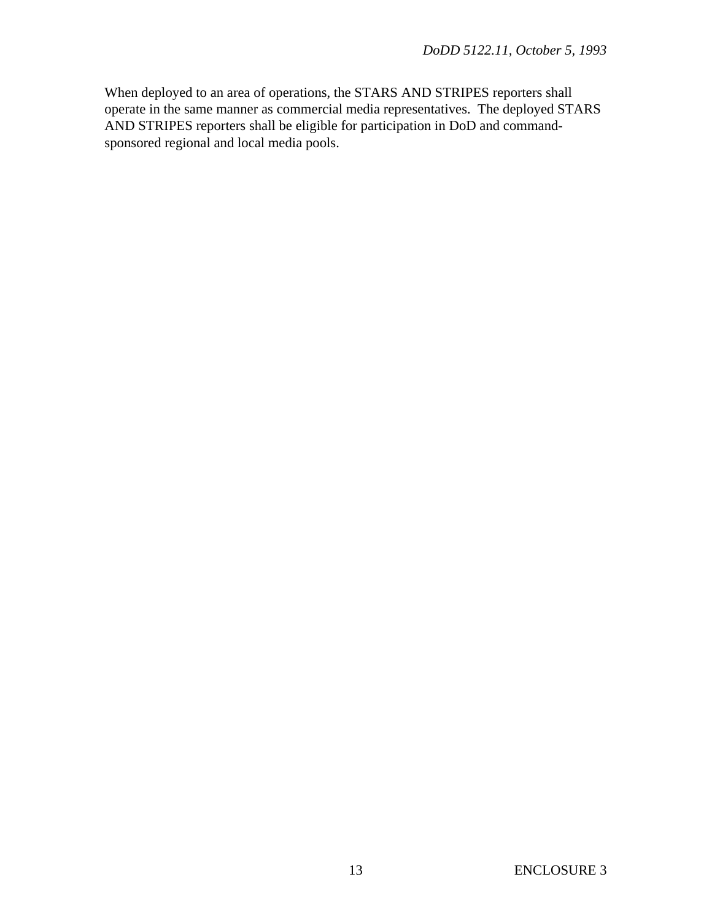When deployed to an area of operations, the STARS AND STRIPES reporters shall operate in the same manner as commercial media representatives. The deployed STARS AND STRIPES reporters shall be eligible for participation in DoD and commandsponsored regional and local media pools.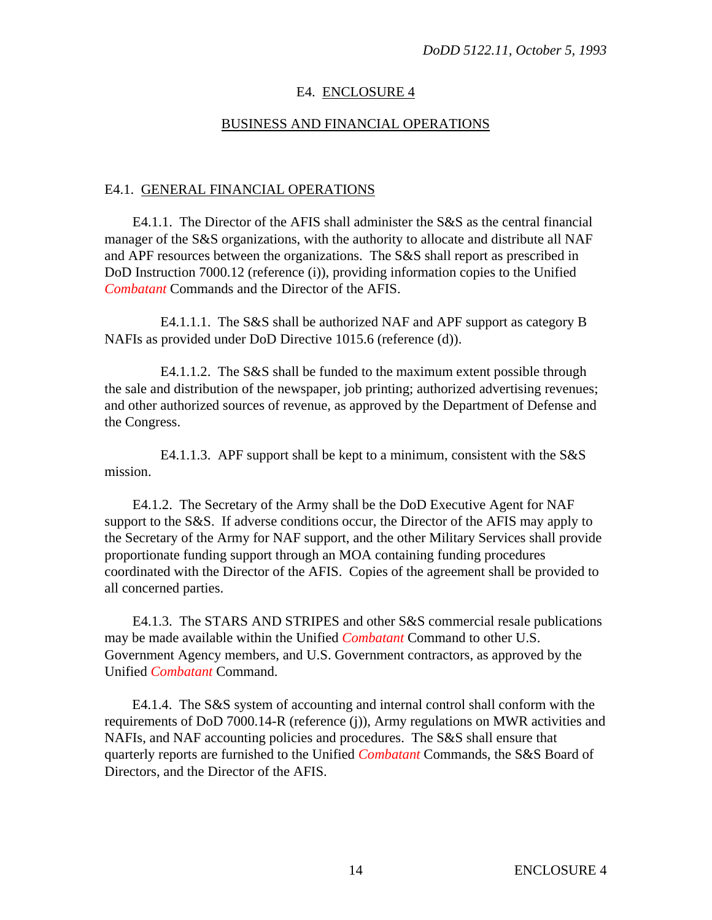# E4. ENCLOSURE 4

## BUSINESS AND FINANCIAL OPERATIONS

## E4.1. GENERAL FINANCIAL OPERATIONS

E4.1.1. The Director of the AFIS shall administer the S&S as the central financial manager of the S&S organizations, with the authority to allocate and distribute all NAF and APF resources between the organizations. The S&S shall report as prescribed in DoD Instruction 7000.12 (reference (i)), providing information copies to the Unified *Combatant* Commands and the Director of the AFIS.

E4.1.1.1. The S&S shall be authorized NAF and APF support as category B NAFIs as provided under DoD Directive 1015.6 (reference (d)).

E4.1.1.2. The S&S shall be funded to the maximum extent possible through the sale and distribution of the newspaper, job printing; authorized advertising revenues; and other authorized sources of revenue, as approved by the Department of Defense and the Congress.

E4.1.1.3. APF support shall be kept to a minimum, consistent with the S&S mission.

E4.1.2. The Secretary of the Army shall be the DoD Executive Agent for NAF support to the S&S. If adverse conditions occur, the Director of the AFIS may apply to the Secretary of the Army for NAF support, and the other Military Services shall provide proportionate funding support through an MOA containing funding procedures coordinated with the Director of the AFIS. Copies of the agreement shall be provided to all concerned parties.

E4.1.3. The STARS AND STRIPES and other S&S commercial resale publications may be made available within the Unified *Combatant* Command to other U.S. Government Agency members, and U.S. Government contractors, as approved by the Unified *Combatant* Command.

E4.1.4. The S&S system of accounting and internal control shall conform with the requirements of DoD 7000.14-R (reference (j)), Army regulations on MWR activities and NAFIs, and NAF accounting policies and procedures. The S&S shall ensure that quarterly reports are furnished to the Unified *Combatant* Commands, the S&S Board of Directors, and the Director of the AFIS.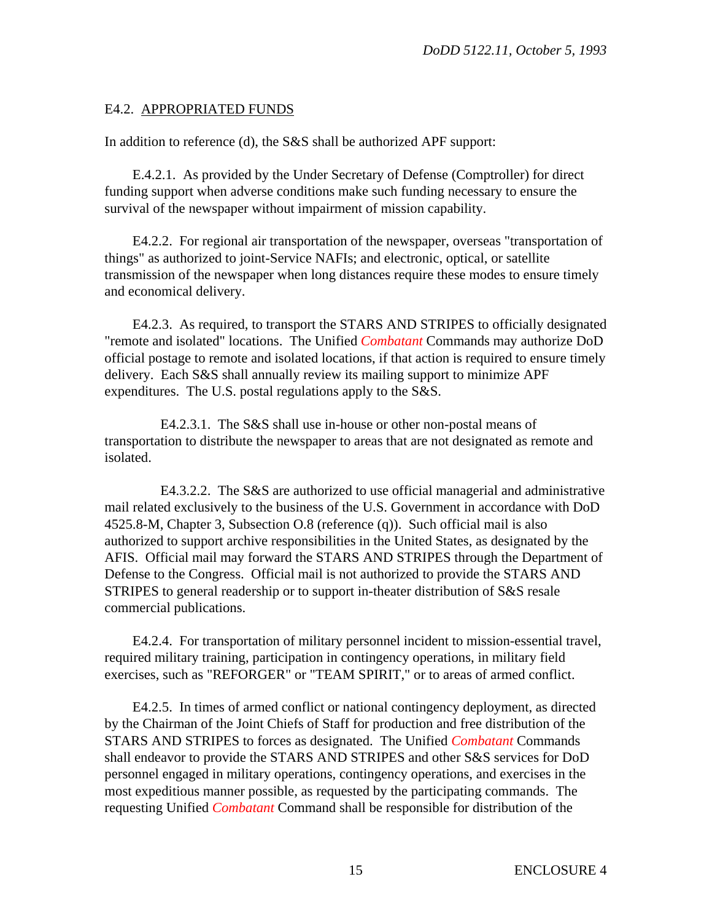# E4.2. APPROPRIATED FUNDS

In addition to reference (d), the S&S shall be authorized APF support:

E.4.2.1. As provided by the Under Secretary of Defense (Comptroller) for direct funding support when adverse conditions make such funding necessary to ensure the survival of the newspaper without impairment of mission capability.

E4.2.2. For regional air transportation of the newspaper, overseas "transportation of things" as authorized to joint-Service NAFIs; and electronic, optical, or satellite transmission of the newspaper when long distances require these modes to ensure timely and economical delivery.

E4.2.3. As required, to transport the STARS AND STRIPES to officially designated "remote and isolated" locations. The Unified *Combatant* Commands may authorize DoD official postage to remote and isolated locations, if that action is required to ensure timely delivery. Each S&S shall annually review its mailing support to minimize APF expenditures. The U.S. postal regulations apply to the S&S.

E4.2.3.1. The S&S shall use in-house or other non-postal means of transportation to distribute the newspaper to areas that are not designated as remote and isolated.

E4.3.2.2. The S&S are authorized to use official managerial and administrative mail related exclusively to the business of the U.S. Government in accordance with DoD 4525.8-M, Chapter 3, Subsection O.8 (reference (q)). Such official mail is also authorized to support archive responsibilities in the United States, as designated by the AFIS. Official mail may forward the STARS AND STRIPES through the Department of Defense to the Congress. Official mail is not authorized to provide the STARS AND STRIPES to general readership or to support in-theater distribution of S&S resale commercial publications.

E4.2.4. For transportation of military personnel incident to mission-essential travel, required military training, participation in contingency operations, in military field exercises, such as "REFORGER" or "TEAM SPIRIT," or to areas of armed conflict.

E4.2.5. In times of armed conflict or national contingency deployment, as directed by the Chairman of the Joint Chiefs of Staff for production and free distribution of the STARS AND STRIPES to forces as designated. The Unified *Combatant* Commands shall endeavor to provide the STARS AND STRIPES and other S&S services for DoD personnel engaged in military operations, contingency operations, and exercises in the most expeditious manner possible, as requested by the participating commands. The requesting Unified *Combatant* Command shall be responsible for distribution of the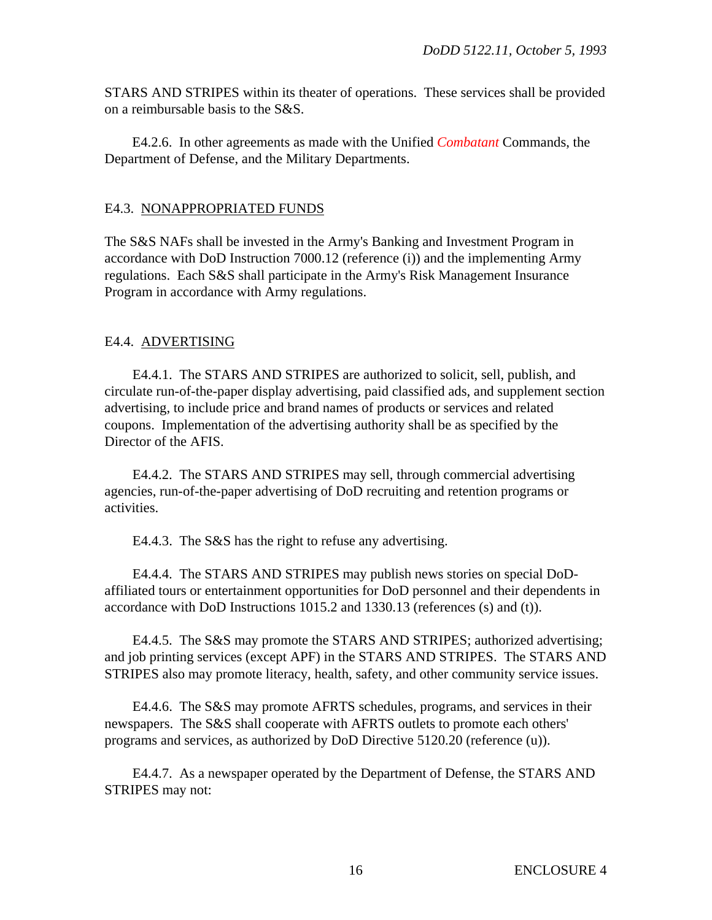STARS AND STRIPES within its theater of operations. These services shall be provided on a reimbursable basis to the S&S.

E4.2.6. In other agreements as made with the Unified *Combatant* Commands, the Department of Defense, and the Military Departments.

## E4.3. NONAPPROPRIATED FUNDS

The S&S NAFs shall be invested in the Army's Banking and Investment Program in accordance with DoD Instruction 7000.12 (reference (i)) and the implementing Army regulations. Each S&S shall participate in the Army's Risk Management Insurance Program in accordance with Army regulations.

# E4.4. ADVERTISING

E4.4.1. The STARS AND STRIPES are authorized to solicit, sell, publish, and circulate run-of-the-paper display advertising, paid classified ads, and supplement section advertising, to include price and brand names of products or services and related coupons. Implementation of the advertising authority shall be as specified by the Director of the AFIS.

E4.4.2. The STARS AND STRIPES may sell, through commercial advertising agencies, run-of-the-paper advertising of DoD recruiting and retention programs or activities.

E4.4.3. The S&S has the right to refuse any advertising.

E4.4.4. The STARS AND STRIPES may publish news stories on special DoDaffiliated tours or entertainment opportunities for DoD personnel and their dependents in accordance with DoD Instructions 1015.2 and 1330.13 (references (s) and (t)).

E4.4.5. The S&S may promote the STARS AND STRIPES; authorized advertising; and job printing services (except APF) in the STARS AND STRIPES. The STARS AND STRIPES also may promote literacy, health, safety, and other community service issues.

E4.4.6. The S&S may promote AFRTS schedules, programs, and services in their newspapers. The S&S shall cooperate with AFRTS outlets to promote each others' programs and services, as authorized by DoD Directive 5120.20 (reference (u)).

E4.4.7. As a newspaper operated by the Department of Defense, the STARS AND STRIPES may not: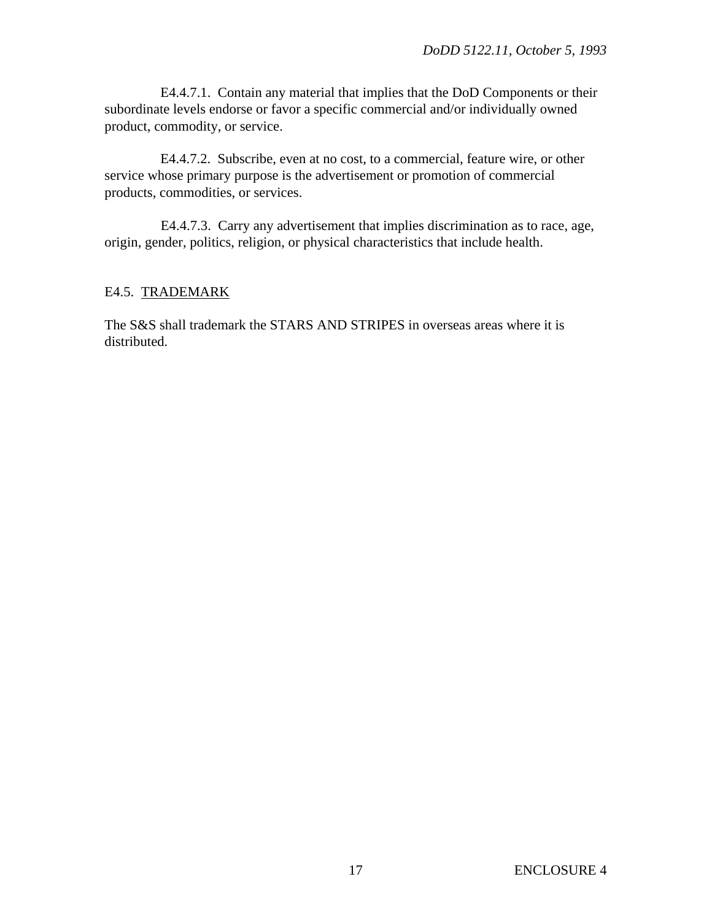E4.4.7.1. Contain any material that implies that the DoD Components or their subordinate levels endorse or favor a specific commercial and/or individually owned product, commodity, or service.

E4.4.7.2. Subscribe, even at no cost, to a commercial, feature wire, or other service whose primary purpose is the advertisement or promotion of commercial products, commodities, or services.

E4.4.7.3. Carry any advertisement that implies discrimination as to race, age, origin, gender, politics, religion, or physical characteristics that include health.

# E4.5. TRADEMARK

The S&S shall trademark the STARS AND STRIPES in overseas areas where it is distributed.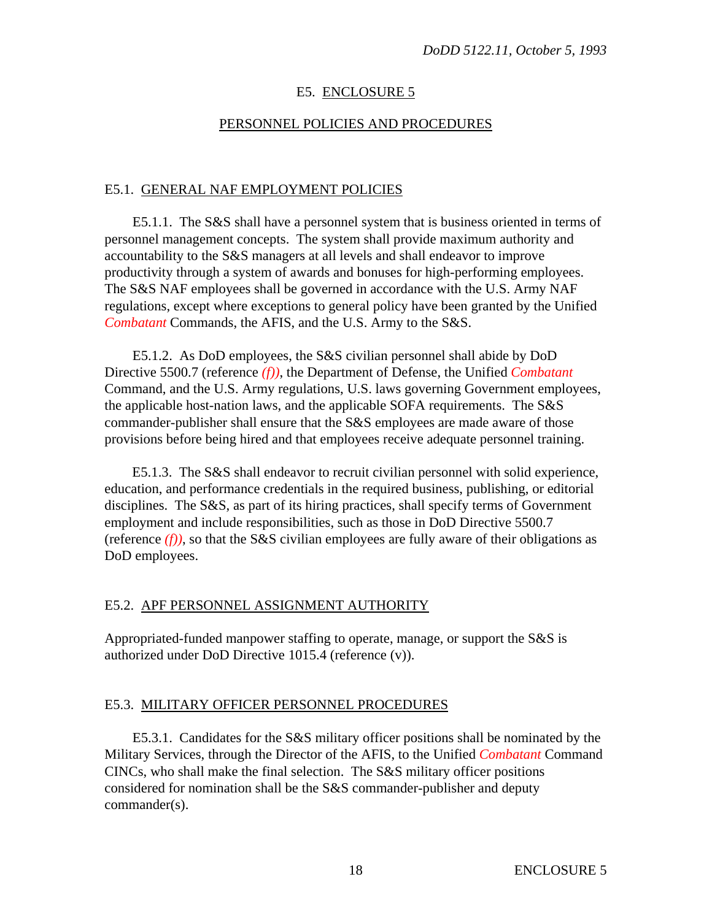# E5. ENCLOSURE 5

## PERSONNEL POLICIES AND PROCEDURES

## E5.1. GENERAL NAF EMPLOYMENT POLICIES

E5.1.1. The S&S shall have a personnel system that is business oriented in terms of personnel management concepts. The system shall provide maximum authority and accountability to the S&S managers at all levels and shall endeavor to improve productivity through a system of awards and bonuses for high-performing employees. The S&S NAF employees shall be governed in accordance with the U.S. Army NAF regulations, except where exceptions to general policy have been granted by the Unified *Combatant* Commands, the AFIS, and the U.S. Army to the S&S.

E5.1.2. As DoD employees, the S&S civilian personnel shall abide by DoD Directive 5500.7 (reference *(f))*, the Department of Defense, the Unified *Combatant* Command, and the U.S. Army regulations, U.S. laws governing Government employees, the applicable host-nation laws, and the applicable SOFA requirements. The S&S commander-publisher shall ensure that the S&S employees are made aware of those provisions before being hired and that employees receive adequate personnel training.

E5.1.3. The S&S shall endeavor to recruit civilian personnel with solid experience, education, and performance credentials in the required business, publishing, or editorial disciplines. The S&S, as part of its hiring practices, shall specify terms of Government employment and include responsibilities, such as those in DoD Directive 5500.7 (reference  $(f)$ ), so that the S&S civilian employees are fully aware of their obligations as DoD employees.

## E5.2. APF PERSONNEL ASSIGNMENT AUTHORITY

Appropriated-funded manpower staffing to operate, manage, or support the S&S is authorized under DoD Directive 1015.4 (reference (v)).

## E5.3. MILITARY OFFICER PERSONNEL PROCEDURES

E5.3.1. Candidates for the S&S military officer positions shall be nominated by the Military Services, through the Director of the AFIS, to the Unified *Combatant* Command CINCs, who shall make the final selection. The S&S military officer positions considered for nomination shall be the S&S commander-publisher and deputy commander(s).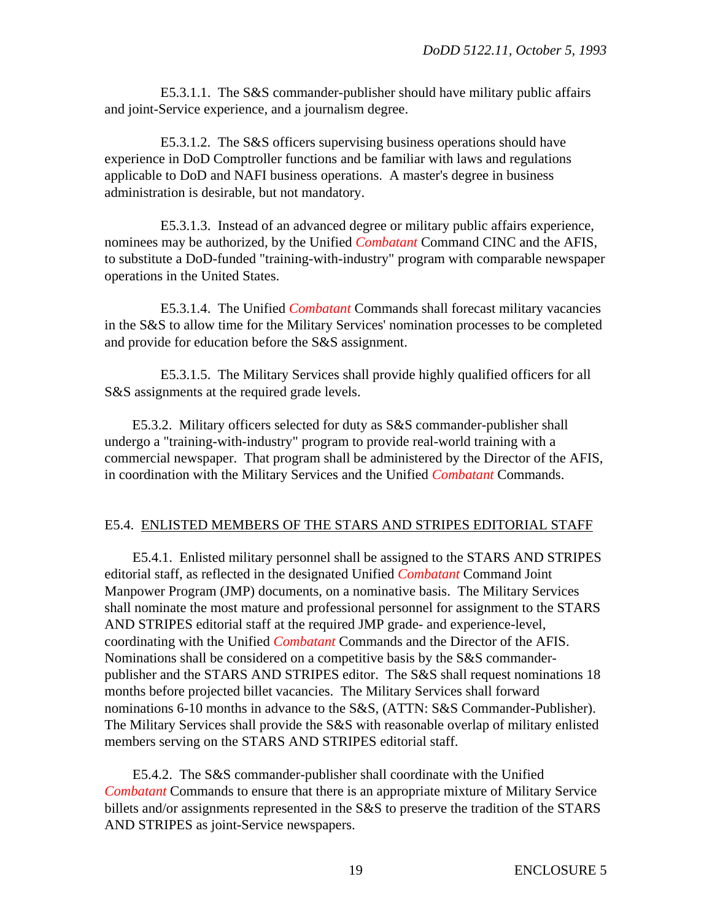E5.3.1.1. The S&S commander-publisher should have military public affairs and joint-Service experience, and a journalism degree.

E5.3.1.2. The S&S officers supervising business operations should have experience in DoD Comptroller functions and be familiar with laws and regulations applicable to DoD and NAFI business operations. A master's degree in business administration is desirable, but not mandatory.

E5.3.1.3. Instead of an advanced degree or military public affairs experience, nominees may be authorized, by the Unified *Combatant* Command CINC and the AFIS, to substitute a DoD-funded "training-with-industry" program with comparable newspaper operations in the United States.

E5.3.1.4. The Unified *Combatant* Commands shall forecast military vacancies in the S&S to allow time for the Military Services' nomination processes to be completed and provide for education before the S&S assignment.

E5.3.1.5. The Military Services shall provide highly qualified officers for all S&S assignments at the required grade levels.

E5.3.2. Military officers selected for duty as S&S commander-publisher shall undergo a "training-with-industry" program to provide real-world training with a commercial newspaper. That program shall be administered by the Director of the AFIS, in coordination with the Military Services and the Unified *Combatant* Commands.

## E5.4. ENLISTED MEMBERS OF THE STARS AND STRIPES EDITORIAL STAFF

E5.4.1. Enlisted military personnel shall be assigned to the STARS AND STRIPES editorial staff, as reflected in the designated Unified *Combatant* Command Joint Manpower Program (JMP) documents, on a nominative basis. The Military Services shall nominate the most mature and professional personnel for assignment to the STARS AND STRIPES editorial staff at the required JMP grade- and experience-level, coordinating with the Unified *Combatant* Commands and the Director of the AFIS. Nominations shall be considered on a competitive basis by the S&S commanderpublisher and the STARS AND STRIPES editor. The S&S shall request nominations 18 months before projected billet vacancies. The Military Services shall forward nominations 6-10 months in advance to the S&S, (ATTN: S&S Commander-Publisher). The Military Services shall provide the S&S with reasonable overlap of military enlisted members serving on the STARS AND STRIPES editorial staff.

E5.4.2. The S&S commander-publisher shall coordinate with the Unified *Combatant* Commands to ensure that there is an appropriate mixture of Military Service billets and/or assignments represented in the S&S to preserve the tradition of the STARS AND STRIPES as joint-Service newspapers.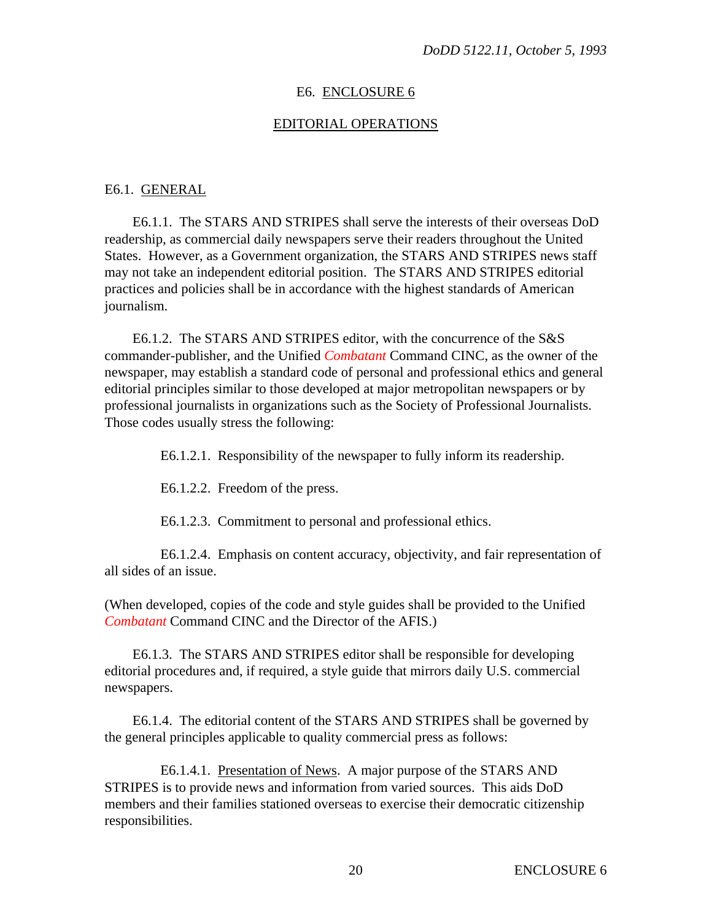#### E6. ENCLOSURE 6

#### EDITORIAL OPERATIONS

#### E6.1. GENERAL

E6.1.1. The STARS AND STRIPES shall serve the interests of their overseas DoD readership, as commercial daily newspapers serve their readers throughout the United States. However, as a Government organization, the STARS AND STRIPES news staff may not take an independent editorial position. The STARS AND STRIPES editorial practices and policies shall be in accordance with the highest standards of American journalism.

E6.1.2. The STARS AND STRIPES editor, with the concurrence of the S&S commander-publisher, and the Unified *Combatant* Command CINC, as the owner of the newspaper, may establish a standard code of personal and professional ethics and general editorial principles similar to those developed at major metropolitan newspapers or by professional journalists in organizations such as the Society of Professional Journalists. Those codes usually stress the following:

E6.1.2.1. Responsibility of the newspaper to fully inform its readership.

E6.1.2.2. Freedom of the press.

E6.1.2.3. Commitment to personal and professional ethics.

E6.1.2.4. Emphasis on content accuracy, objectivity, and fair representation of all sides of an issue.

(When developed, copies of the code and style guides shall be provided to the Unified *Combatant* Command CINC and the Director of the AFIS.)

E6.1.3. The STARS AND STRIPES editor shall be responsible for developing editorial procedures and, if required, a style guide that mirrors daily U.S. commercial newspapers.

E6.1.4. The editorial content of the STARS AND STRIPES shall be governed by the general principles applicable to quality commercial press as follows:

E6.1.4.1. Presentation of News. A major purpose of the STARS AND STRIPES is to provide news and information from varied sources. This aids DoD members and their families stationed overseas to exercise their democratic citizenship responsibilities.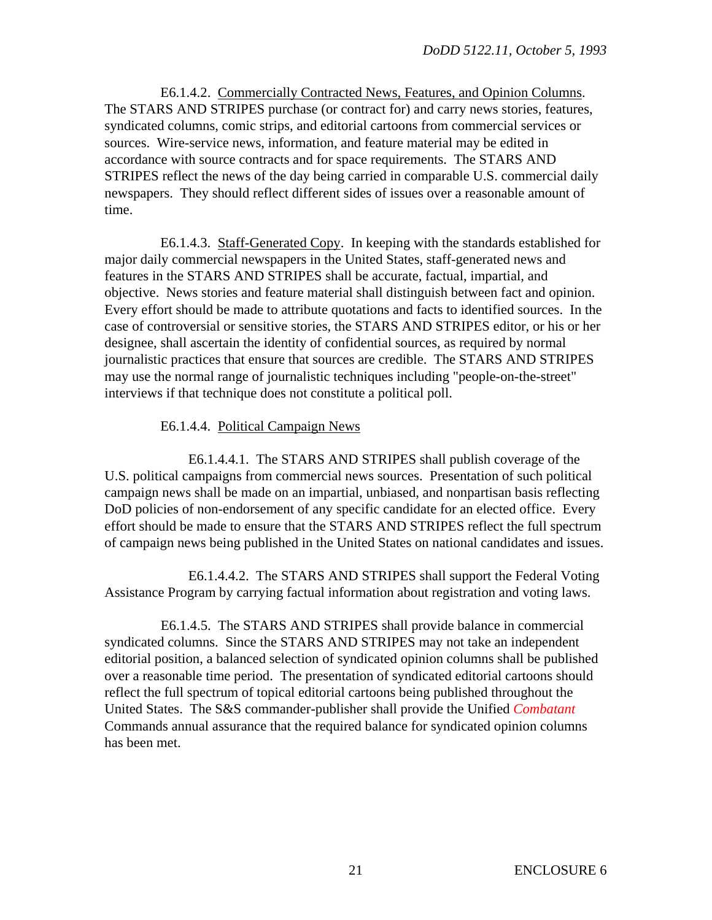E6.1.4.2. Commercially Contracted News, Features, and Opinion Columns. The STARS AND STRIPES purchase (or contract for) and carry news stories, features, syndicated columns, comic strips, and editorial cartoons from commercial services or sources. Wire-service news, information, and feature material may be edited in accordance with source contracts and for space requirements. The STARS AND STRIPES reflect the news of the day being carried in comparable U.S. commercial daily newspapers. They should reflect different sides of issues over a reasonable amount of time.

E6.1.4.3. Staff-Generated Copy. In keeping with the standards established for major daily commercial newspapers in the United States, staff-generated news and features in the STARS AND STRIPES shall be accurate, factual, impartial, and objective. News stories and feature material shall distinguish between fact and opinion. Every effort should be made to attribute quotations and facts to identified sources. In the case of controversial or sensitive stories, the STARS AND STRIPES editor, or his or her designee, shall ascertain the identity of confidential sources, as required by normal journalistic practices that ensure that sources are credible. The STARS AND STRIPES may use the normal range of journalistic techniques including "people-on-the-street" interviews if that technique does not constitute a political poll.

## E6.1.4.4. Political Campaign News

E6.1.4.4.1. The STARS AND STRIPES shall publish coverage of the U.S. political campaigns from commercial news sources. Presentation of such political campaign news shall be made on an impartial, unbiased, and nonpartisan basis reflecting DoD policies of non-endorsement of any specific candidate for an elected office. Every effort should be made to ensure that the STARS AND STRIPES reflect the full spectrum of campaign news being published in the United States on national candidates and issues.

E6.1.4.4.2. The STARS AND STRIPES shall support the Federal Voting Assistance Program by carrying factual information about registration and voting laws.

E6.1.4.5. The STARS AND STRIPES shall provide balance in commercial syndicated columns. Since the STARS AND STRIPES may not take an independent editorial position, a balanced selection of syndicated opinion columns shall be published over a reasonable time period. The presentation of syndicated editorial cartoons should reflect the full spectrum of topical editorial cartoons being published throughout the United States. The S&S commander-publisher shall provide the Unified *Combatant* Commands annual assurance that the required balance for syndicated opinion columns has been met.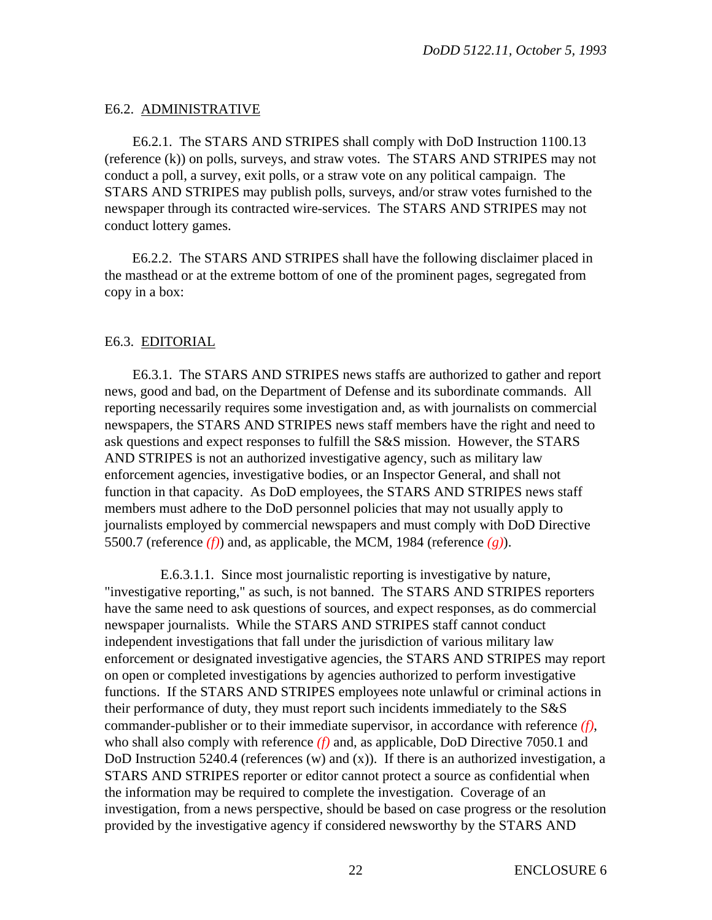# E6.2. ADMINISTRATIVE

E6.2.1. The STARS AND STRIPES shall comply with DoD Instruction 1100.13 (reference (k)) on polls, surveys, and straw votes. The STARS AND STRIPES may not conduct a poll, a survey, exit polls, or a straw vote on any political campaign. The STARS AND STRIPES may publish polls, surveys, and/or straw votes furnished to the newspaper through its contracted wire-services. The STARS AND STRIPES may not conduct lottery games.

E6.2.2. The STARS AND STRIPES shall have the following disclaimer placed in the masthead or at the extreme bottom of one of the prominent pages, segregated from copy in a box:

# E6.3. EDITORIAL

E6.3.1. The STARS AND STRIPES news staffs are authorized to gather and report news, good and bad, on the Department of Defense and its subordinate commands. All reporting necessarily requires some investigation and, as with journalists on commercial newspapers, the STARS AND STRIPES news staff members have the right and need to ask questions and expect responses to fulfill the S&S mission. However, the STARS AND STRIPES is not an authorized investigative agency, such as military law enforcement agencies, investigative bodies, or an Inspector General, and shall not function in that capacity. As DoD employees, the STARS AND STRIPES news staff members must adhere to the DoD personnel policies that may not usually apply to journalists employed by commercial newspapers and must comply with DoD Directive 5500.7 (reference  $(f)$ ) and, as applicable, the MCM, 1984 (reference  $(g)$ ).

E.6.3.1.1. Since most journalistic reporting is investigative by nature, "investigative reporting," as such, is not banned. The STARS AND STRIPES reporters have the same need to ask questions of sources, and expect responses, as do commercial newspaper journalists. While the STARS AND STRIPES staff cannot conduct independent investigations that fall under the jurisdiction of various military law enforcement or designated investigative agencies, the STARS AND STRIPES may report on open or completed investigations by agencies authorized to perform investigative functions. If the STARS AND STRIPES employees note unlawful or criminal actions in their performance of duty, they must report such incidents immediately to the S&S commander-publisher or to their immediate supervisor, in accordance with reference *(f)*, who shall also comply with reference *(f)* and, as applicable, DoD Directive 7050.1 and DoD Instruction 5240.4 (references  $(w)$  and  $(x)$ ). If there is an authorized investigation, a STARS AND STRIPES reporter or editor cannot protect a source as confidential when the information may be required to complete the investigation. Coverage of an investigation, from a news perspective, should be based on case progress or the resolution provided by the investigative agency if considered newsworthy by the STARS AND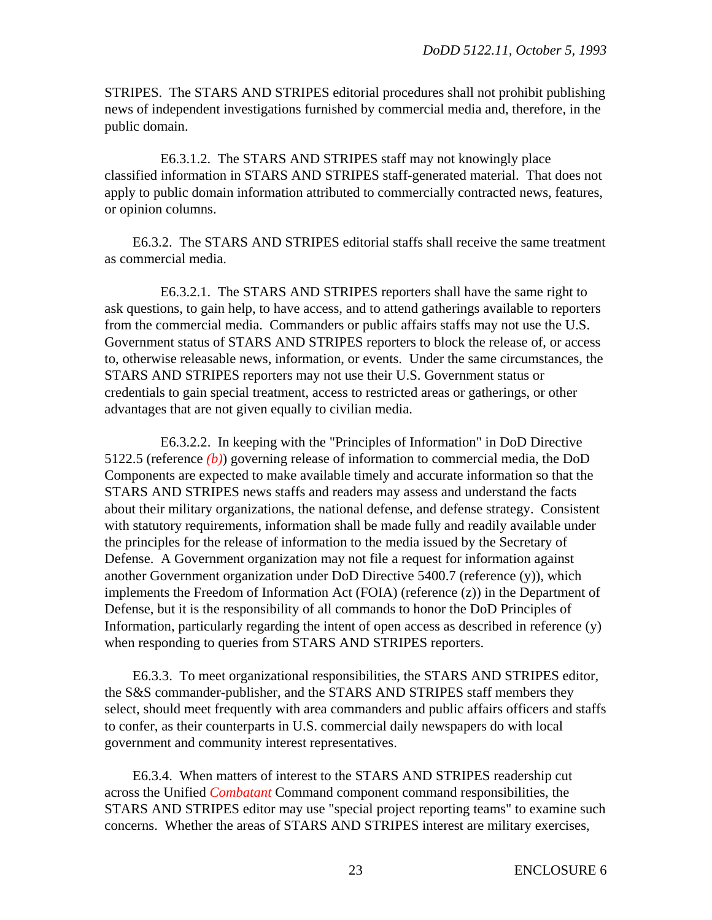STRIPES. The STARS AND STRIPES editorial procedures shall not prohibit publishing news of independent investigations furnished by commercial media and, therefore, in the public domain.

E6.3.1.2. The STARS AND STRIPES staff may not knowingly place classified information in STARS AND STRIPES staff-generated material. That does not apply to public domain information attributed to commercially contracted news, features, or opinion columns.

E6.3.2. The STARS AND STRIPES editorial staffs shall receive the same treatment as commercial media.

E6.3.2.1. The STARS AND STRIPES reporters shall have the same right to ask questions, to gain help, to have access, and to attend gatherings available to reporters from the commercial media. Commanders or public affairs staffs may not use the U.S. Government status of STARS AND STRIPES reporters to block the release of, or access to, otherwise releasable news, information, or events. Under the same circumstances, the STARS AND STRIPES reporters may not use their U.S. Government status or credentials to gain special treatment, access to restricted areas or gatherings, or other advantages that are not given equally to civilian media.

E6.3.2.2. In keeping with the "Principles of Information" in DoD Directive 5122.5 (reference *(b)*) governing release of information to commercial media, the DoD Components are expected to make available timely and accurate information so that the STARS AND STRIPES news staffs and readers may assess and understand the facts about their military organizations, the national defense, and defense strategy. Consistent with statutory requirements, information shall be made fully and readily available under the principles for the release of information to the media issued by the Secretary of Defense. A Government organization may not file a request for information against another Government organization under DoD Directive 5400.7 (reference (y)), which implements the Freedom of Information Act (FOIA) (reference (z)) in the Department of Defense, but it is the responsibility of all commands to honor the DoD Principles of Information, particularly regarding the intent of open access as described in reference (y) when responding to queries from STARS AND STRIPES reporters.

E6.3.3. To meet organizational responsibilities, the STARS AND STRIPES editor, the S&S commander-publisher, and the STARS AND STRIPES staff members they select, should meet frequently with area commanders and public affairs officers and staffs to confer, as their counterparts in U.S. commercial daily newspapers do with local government and community interest representatives.

E6.3.4. When matters of interest to the STARS AND STRIPES readership cut across the Unified *Combatant* Command component command responsibilities, the STARS AND STRIPES editor may use "special project reporting teams" to examine such concerns. Whether the areas of STARS AND STRIPES interest are military exercises,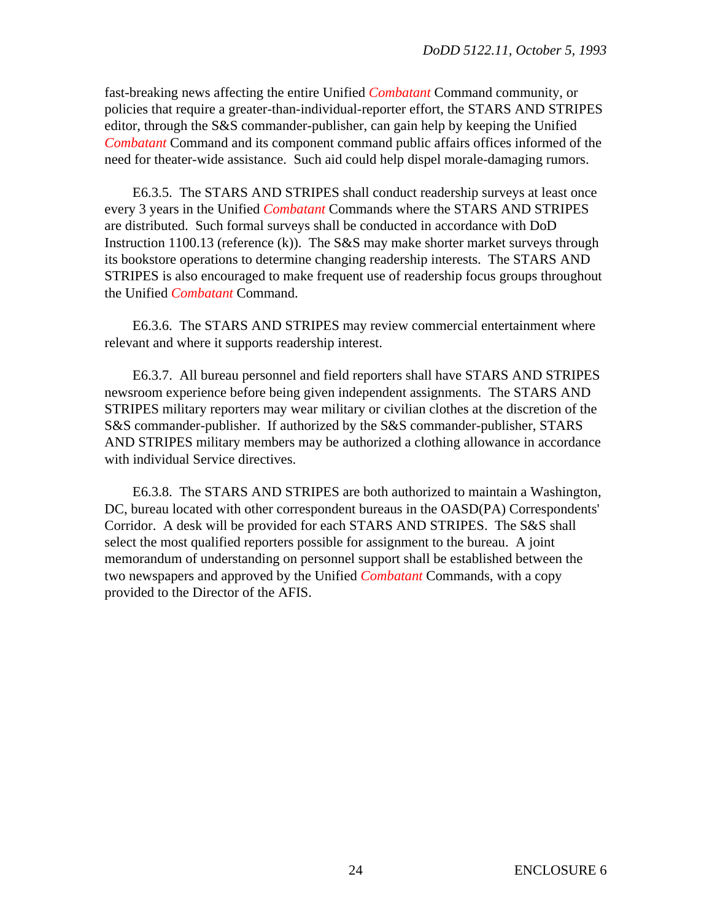fast-breaking news affecting the entire Unified *Combatant* Command community, or policies that require a greater-than-individual-reporter effort, the STARS AND STRIPES editor, through the S&S commander-publisher, can gain help by keeping the Unified *Combatant* Command and its component command public affairs offices informed of the need for theater-wide assistance. Such aid could help dispel morale-damaging rumors.

E6.3.5. The STARS AND STRIPES shall conduct readership surveys at least once every 3 years in the Unified *Combatant* Commands where the STARS AND STRIPES are distributed. Such formal surveys shall be conducted in accordance with DoD Instruction 1100.13 (reference (k)). The S&S may make shorter market surveys through its bookstore operations to determine changing readership interests. The STARS AND STRIPES is also encouraged to make frequent use of readership focus groups throughout the Unified *Combatant* Command.

E6.3.6. The STARS AND STRIPES may review commercial entertainment where relevant and where it supports readership interest.

E6.3.7. All bureau personnel and field reporters shall have STARS AND STRIPES newsroom experience before being given independent assignments. The STARS AND STRIPES military reporters may wear military or civilian clothes at the discretion of the S&S commander-publisher. If authorized by the S&S commander-publisher, STARS AND STRIPES military members may be authorized a clothing allowance in accordance with individual Service directives.

E6.3.8. The STARS AND STRIPES are both authorized to maintain a Washington, DC, bureau located with other correspondent bureaus in the OASD(PA) Correspondents' Corridor. A desk will be provided for each STARS AND STRIPES. The S&S shall select the most qualified reporters possible for assignment to the bureau. A joint memorandum of understanding on personnel support shall be established between the two newspapers and approved by the Unified *Combatant* Commands, with a copy provided to the Director of the AFIS.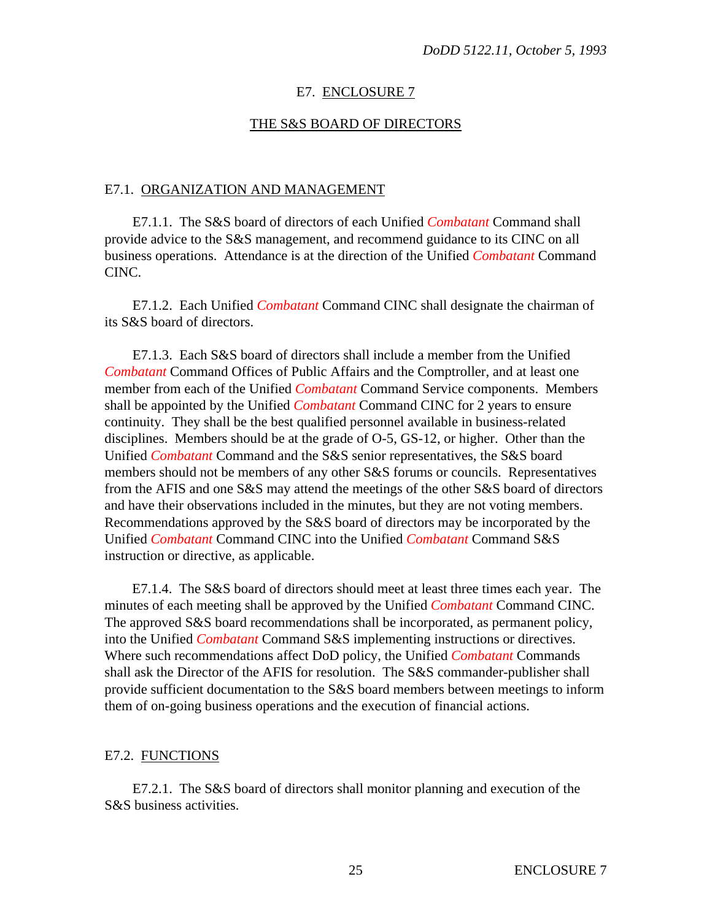#### E7. ENCLOSURE 7

#### THE S&S BOARD OF DIRECTORS

#### E7.1. ORGANIZATION AND MANAGEMENT

E7.1.1. The S&S board of directors of each Unified *Combatant* Command shall provide advice to the S&S management, and recommend guidance to its CINC on all business operations. Attendance is at the direction of the Unified *Combatant* Command CINC.

E7.1.2. Each Unified *Combatant* Command CINC shall designate the chairman of its S&S board of directors.

E7.1.3. Each S&S board of directors shall include a member from the Unified *Combatant* Command Offices of Public Affairs and the Comptroller, and at least one member from each of the Unified *Combatant* Command Service components. Members shall be appointed by the Unified *Combatant* Command CINC for 2 years to ensure continuity. They shall be the best qualified personnel available in business-related disciplines. Members should be at the grade of O-5, GS-12, or higher. Other than the Unified *Combatant* Command and the S&S senior representatives, the S&S board members should not be members of any other S&S forums or councils. Representatives from the AFIS and one S&S may attend the meetings of the other S&S board of directors and have their observations included in the minutes, but they are not voting members. Recommendations approved by the S&S board of directors may be incorporated by the Unified *Combatant* Command CINC into the Unified *Combatant* Command S&S instruction or directive, as applicable.

E7.1.4. The S&S board of directors should meet at least three times each year. The minutes of each meeting shall be approved by the Unified *Combatant* Command CINC. The approved S&S board recommendations shall be incorporated, as permanent policy, into the Unified *Combatant* Command S&S implementing instructions or directives. Where such recommendations affect DoD policy, the Unified *Combatant* Commands shall ask the Director of the AFIS for resolution. The S&S commander-publisher shall provide sufficient documentation to the S&S board members between meetings to inform them of on-going business operations and the execution of financial actions.

#### E7.2. FUNCTIONS

E7.2.1. The S&S board of directors shall monitor planning and execution of the S&S business activities.